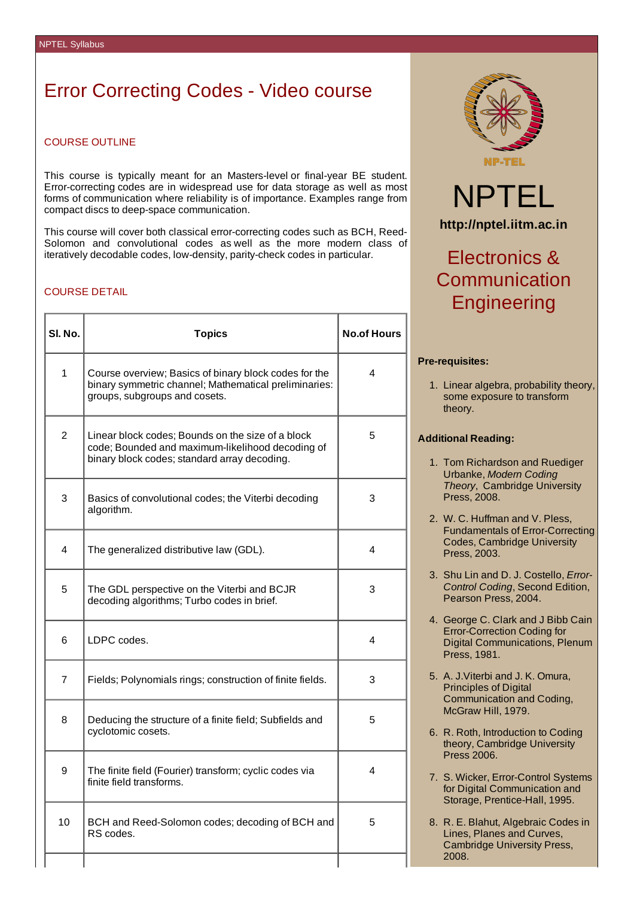### Error Correcting Codes - Video course

### COURSE OUTLINE

This course is typically meant for an Masters-level or final-year BE student. Error-correcting codes are in widespread use for data storage as well as most forms of communication where reliability is of importance. Examples range from compact discs to deep-space communication.

This course will cover both classical error-correcting codes such as BCH, Reed-Solomon and convolutional codes as well as the more modern class of iteratively decodable codes, low-density, parity-check codes in particular.

#### COURSE DETAIL

| SI. No.         | <b>Topics</b>                                                                                                                                         | <b>No.of Hours</b> |
|-----------------|-------------------------------------------------------------------------------------------------------------------------------------------------------|--------------------|
| $\mathbf{1}$    | Course overview; Basics of binary block codes for the<br>binary symmetric channel; Mathematical preliminaries:<br>groups, subgroups and cosets.       | 4                  |
| $\overline{2}$  | Linear block codes; Bounds on the size of a block<br>code; Bounded and maximum-likelihood decoding of<br>binary block codes; standard array decoding. | 5                  |
| 3               | Basics of convolutional codes; the Viterbi decoding<br>algorithm.                                                                                     | 3                  |
| 4               | The generalized distributive law (GDL).                                                                                                               | 4                  |
| 5               | The GDL perspective on the Viterbi and BCJR<br>decoding algorithms; Turbo codes in brief.                                                             | 3                  |
| 6               | LDPC codes.                                                                                                                                           | 4                  |
| 7               | Fields; Polynomials rings; construction of finite fields.                                                                                             | 3                  |
| 8               | Deducing the structure of a finite field; Subfields and<br>cyclotomic cosets.                                                                         | 5                  |
| 9               | The finite field (Fourier) transform; cyclic codes via<br>finite field transforms.                                                                    | 4                  |
| 10 <sup>1</sup> | BCH and Reed-Solomon codes; decoding of BCH and<br>RS codes.                                                                                          | 5                  |
|                 |                                                                                                                                                       |                    |



# NPTEL **http://nptel.iitm.ac.in**

## Electronics & Communication **Engineering**

#### **Pre-requisites:**

1. Linear algebra, probability theory, some exposure to transform theory.

#### **Additional Reading:**

- 1. Tom Richardson and Ruediger Urbanke, *Modern Coding Theory*, Cambridge University Press, 2008.
- 2. W. C. Huffman and V. Pless, Fundamentals of Error-Correcting Codes, Cambridge University Press, 2003.
- 3. Shu Lin and D. J. Costello, *Error-Control Coding*, Second Edition, Pearson Press, 2004.
- 4. George C. Clark and J Bibb Cain Error-Correction Coding for Digital Communications, Plenum Press, 1981.
- 5. A. J.Viterbi and J. K. Omura, Principles of Digital Communication and Coding, McGraw Hill, 1979.
- 6. R. Roth, Introduction to Coding theory, Cambridge University Press 2006.
- 7. S. Wicker, Error-Control Systems for Digital Communication and Storage, Prentice-Hall, 1995.
- 8. R. E. Blahut, Algebraic Codes in Lines, Planes and Curves, Cambridge University Press, 2008.